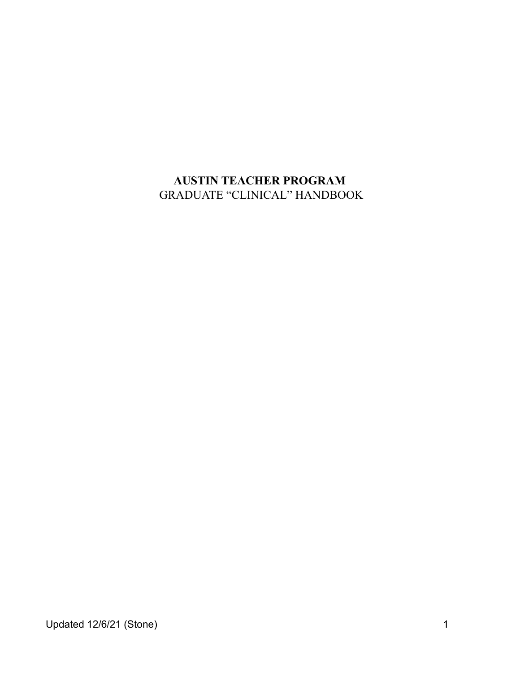# **AUSTIN TEACHER PROGRAM** GRADUATE "CLINICAL" HANDBOOK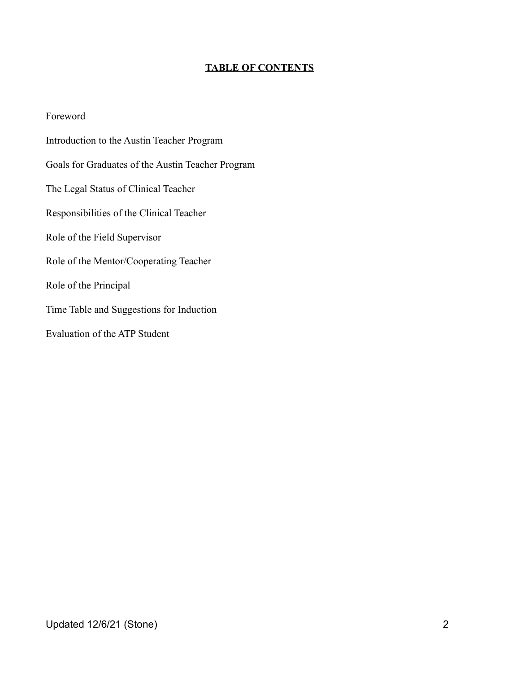#### **TABLE OF CONTENTS**

Foreword Introduction to the Austin Teacher Program Goals for Graduates of the Austin Teacher Program The Legal Status of Clinical Teacher Responsibilities of the Clinical Teacher Role of the Field Supervisor Role of the Mentor/Cooperating Teacher Role of the Principal Time Table and Suggestions for Induction Evaluation of the ATP Student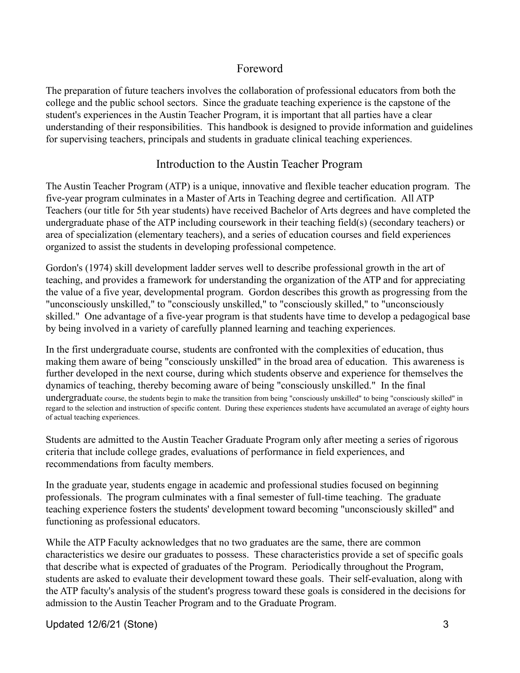### Foreword

The preparation of future teachers involves the collaboration of professional educators from both the college and the public school sectors. Since the graduate teaching experience is the capstone of the student's experiences in the Austin Teacher Program, it is important that all parties have a clear understanding of their responsibilities. This handbook is designed to provide information and guidelines for supervising teachers, principals and students in graduate clinical teaching experiences.

### Introduction to the Austin Teacher Program

The Austin Teacher Program (ATP) is a unique, innovative and flexible teacher education program. The five-year program culminates in a Master of Arts in Teaching degree and certification. All ATP Teachers (our title for 5th year students) have received Bachelor of Arts degrees and have completed the undergraduate phase of the ATP including coursework in their teaching field(s) (secondary teachers) or area of specialization (elementary teachers), and a series of education courses and field experiences organized to assist the students in developing professional competence.

Gordon's (1974) skill development ladder serves well to describe professional growth in the art of teaching, and provides a framework for understanding the organization of the ATP and for appreciating the value of a five year, developmental program. Gordon describes this growth as progressing from the "unconsciously unskilled," to "consciously unskilled," to "consciously skilled," to "unconsciously skilled." One advantage of a five-year program is that students have time to develop a pedagogical base by being involved in a variety of carefully planned learning and teaching experiences.

In the first undergraduate course, students are confronted with the complexities of education, thus making them aware of being "consciously unskilled" in the broad area of education. This awareness is further developed in the next course, during which students observe and experience for themselves the dynamics of teaching, thereby becoming aware of being "consciously unskilled." In the final undergraduate course, the students begin to make the transition from being "consciously unskilled" to being "consciously skilled" in regard to the selection and instruction of specific content. During these experiences students have accumulated an average of eighty hours of actual teaching experiences.

Students are admitted to the Austin Teacher Graduate Program only after meeting a series of rigorous criteria that include college grades, evaluations of performance in field experiences, and recommendations from faculty members.

In the graduate year, students engage in academic and professional studies focused on beginning professionals. The program culminates with a final semester of full-time teaching. The graduate teaching experience fosters the students' development toward becoming "unconsciously skilled" and functioning as professional educators.

While the ATP Faculty acknowledges that no two graduates are the same, there are common characteristics we desire our graduates to possess. These characteristics provide a set of specific goals that describe what is expected of graduates of the Program. Periodically throughout the Program, students are asked to evaluate their development toward these goals. Their self-evaluation, along with the ATP faculty's analysis of the student's progress toward these goals is considered in the decisions for admission to the Austin Teacher Program and to the Graduate Program.

Updated 12/6/21 (Stone) 3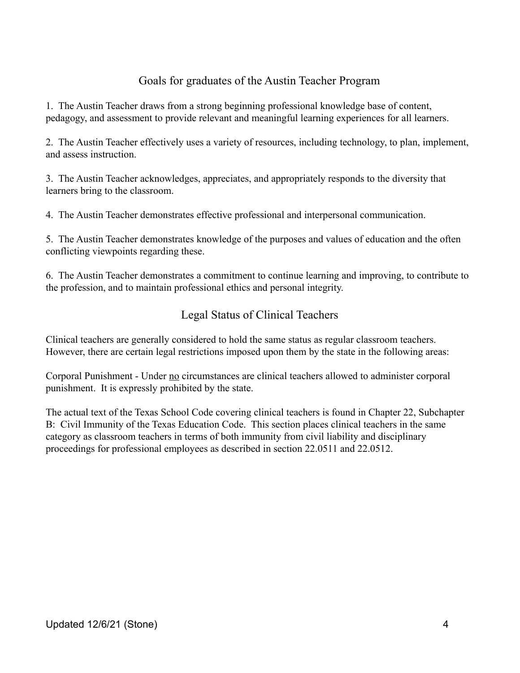# Goals for graduates of the Austin Teacher Program

1. The Austin Teacher draws from a strong beginning professional knowledge base of content, pedagogy, and assessment to provide relevant and meaningful learning experiences for all learners.

2. The Austin Teacher effectively uses a variety of resources, including technology, to plan, implement, and assess instruction.

3. The Austin Teacher acknowledges, appreciates, and appropriately responds to the diversity that learners bring to the classroom.

4. The Austin Teacher demonstrates effective professional and interpersonal communication.

5. The Austin Teacher demonstrates knowledge of the purposes and values of education and the often conflicting viewpoints regarding these.

6. The Austin Teacher demonstrates a commitment to continue learning and improving, to contribute to the profession, and to maintain professional ethics and personal integrity.

# Legal Status of Clinical Teachers

Clinical teachers are generally considered to hold the same status as regular classroom teachers. However, there are certain legal restrictions imposed upon them by the state in the following areas:

Corporal Punishment - Under no circumstances are clinical teachers allowed to administer corporal punishment. It is expressly prohibited by the state.

The actual text of the Texas School Code covering clinical teachers is found in Chapter 22, Subchapter B: Civil Immunity of the Texas Education Code. This section places clinical teachers in the same category as classroom teachers in terms of both immunity from civil liability and disciplinary proceedings for professional employees as described in section 22.0511 and 22.0512.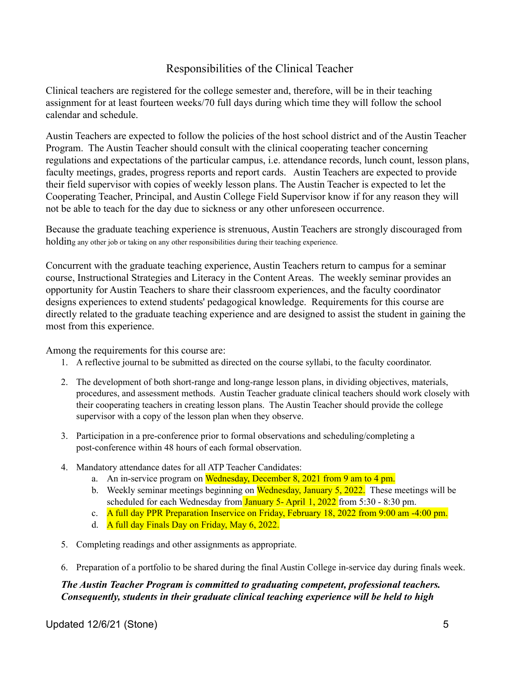### Responsibilities of the Clinical Teacher

Clinical teachers are registered for the college semester and, therefore, will be in their teaching assignment for at least fourteen weeks/70 full days during which time they will follow the school calendar and schedule.

Austin Teachers are expected to follow the policies of the host school district and of the Austin Teacher Program. The Austin Teacher should consult with the clinical cooperating teacher concerning regulations and expectations of the particular campus, i.e. attendance records, lunch count, lesson plans, faculty meetings, grades, progress reports and report cards. Austin Teachers are expected to provide their field supervisor with copies of weekly lesson plans. The Austin Teacher is expected to let the Cooperating Teacher, Principal, and Austin College Field Supervisor know if for any reason they will not be able to teach for the day due to sickness or any other unforeseen occurrence.

Because the graduate teaching experience is strenuous, Austin Teachers are strongly discouraged from holding any other job or taking on any other responsibilities during their teaching experience.

Concurrent with the graduate teaching experience, Austin Teachers return to campus for a seminar course, Instructional Strategies and Literacy in the Content Areas. The weekly seminar provides an opportunity for Austin Teachers to share their classroom experiences, and the faculty coordinator designs experiences to extend students' pedagogical knowledge. Requirements for this course are directly related to the graduate teaching experience and are designed to assist the student in gaining the most from this experience.

Among the requirements for this course are:

- 1. A reflective journal to be submitted as directed on the course syllabi, to the faculty coordinator.
- 2. The development of both short-range and long-range lesson plans, in dividing objectives, materials, procedures, and assessment methods. Austin Teacher graduate clinical teachers should work closely with their cooperating teachers in creating lesson plans. The Austin Teacher should provide the college supervisor with a copy of the lesson plan when they observe.
- 3. Participation in a pre-conference prior to formal observations and scheduling/completing a post-conference within 48 hours of each formal observation.
- 4. Mandatory attendance dates for all ATP Teacher Candidates:
	- a. An in-service program on Wednesday, December 8, 2021 from 9 am to 4 pm.
	- b. Weekly seminar meetings beginning on Wednesday, January 5, 2022. These meetings will be scheduled for each Wednesday from January 5- April 1, 2022 from 5:30 - 8:30 pm.
	- c. A full day PPR Preparation Inservice on Friday, February 18, 2022 from 9:00 am -4:00 pm.
	- d. A full day Finals Day on Friday, May 6, 2022.
- 5. Completing readings and other assignments as appropriate.
- 6. Preparation of a portfolio to be shared during the final Austin College in-service day during finals week.

#### *The Austin Teacher Program is committed to graduating competent, professional teachers. Consequently, students in their graduate clinical teaching experience will be held to high*

#### Updated 12/6/21 (Stone) 5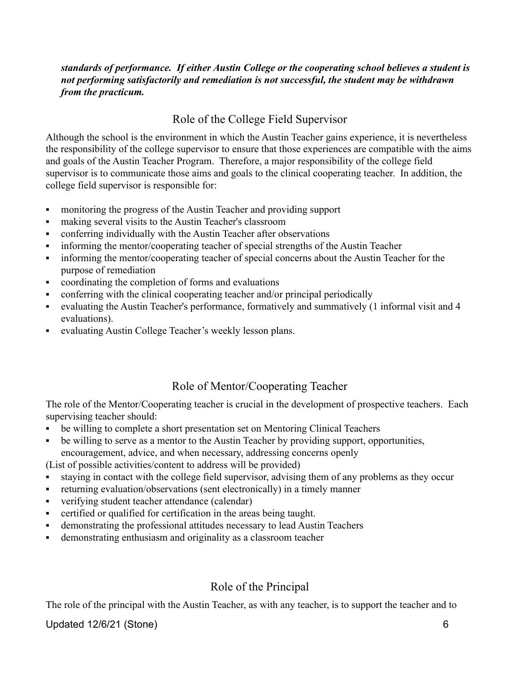#### *standards of performance. If either Austin College or the cooperating school believes a student is not performing satisfactorily and remediation is not successful, the student may be withdrawn from the practicum.*

### Role of the College Field Supervisor

Although the school is the environment in which the Austin Teacher gains experience, it is nevertheless the responsibility of the college supervisor to ensure that those experiences are compatible with the aims and goals of the Austin Teacher Program. Therefore, a major responsibility of the college field supervisor is to communicate those aims and goals to the clinical cooperating teacher. In addition, the college field supervisor is responsible for:

- monitoring the progress of the Austin Teacher and providing support
- **Example 3** making several visits to the Austin Teacher's classroom
- conferring individually with the Austin Teacher after observations
- **•** informing the mentor/cooperating teacher of special strengths of the Austin Teacher
- informing the mentor/cooperating teacher of special concerns about the Austin Teacher for the purpose of remediation
- coordinating the completion of forms and evaluations
- conferring with the clinical cooperating teacher and/or principal periodically
- evaluating the Austin Teacher's performance, formatively and summatively (1 informal visit and 4 evaluations).
- evaluating Austin College Teacher's weekly lesson plans.

# Role of Mentor/Cooperating Teacher

The role of the Mentor/Cooperating teacher is crucial in the development of prospective teachers. Each supervising teacher should:

- be willing to complete a short presentation set on Mentoring Clinical Teachers
- be willing to serve as a mentor to the Austin Teacher by providing support, opportunities, encouragement, advice, and when necessary, addressing concerns openly

(List of possible activities/content to address will be provided)

- staying in contact with the college field supervisor, advising them of any problems as they occur
- returning evaluation/observations (sent electronically) in a timely manner
- verifying student teacher attendance (calendar)
- certified or qualified for certification in the areas being taught.
- demonstrating the professional attitudes necessary to lead Austin Teachers
- **•** demonstrating enthusiasm and originality as a classroom teacher

### Role of the Principal

The role of the principal with the Austin Teacher, as with any teacher, is to support the teacher and to

### Updated 12/6/21 (Stone) 6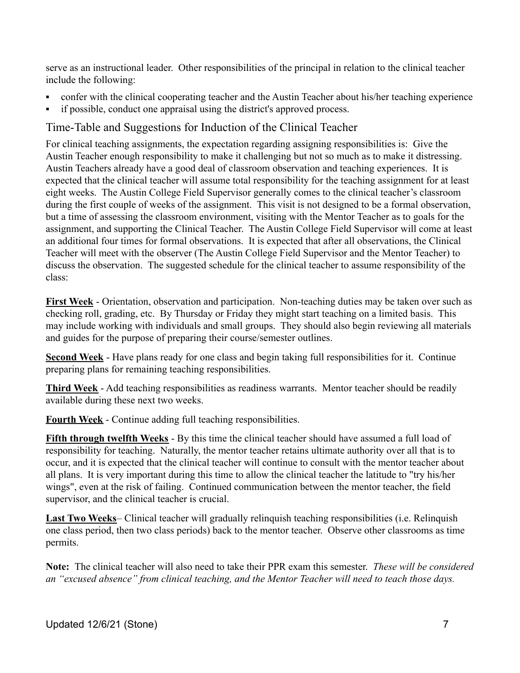serve as an instructional leader. Other responsibilities of the principal in relation to the clinical teacher include the following:

- confer with the clinical cooperating teacher and the Austin Teacher about his/her teaching experience
- if possible, conduct one appraisal using the district's approved process.

# Time-Table and Suggestions for Induction of the Clinical Teacher

For clinical teaching assignments, the expectation regarding assigning responsibilities is: Give the Austin Teacher enough responsibility to make it challenging but not so much as to make it distressing. Austin Teachers already have a good deal of classroom observation and teaching experiences. It is expected that the clinical teacher will assume total responsibility for the teaching assignment for at least eight weeks. The Austin College Field Supervisor generally comes to the clinical teacher's classroom during the first couple of weeks of the assignment. This visit is not designed to be a formal observation, but a time of assessing the classroom environment, visiting with the Mentor Teacher as to goals for the assignment, and supporting the Clinical Teacher. The Austin College Field Supervisor will come at least an additional four times for formal observations. It is expected that after all observations, the Clinical Teacher will meet with the observer (The Austin College Field Supervisor and the Mentor Teacher) to discuss the observation. The suggested schedule for the clinical teacher to assume responsibility of the class:

**First Week** - Orientation, observation and participation. Non-teaching duties may be taken over such as checking roll, grading, etc. By Thursday or Friday they might start teaching on a limited basis. This may include working with individuals and small groups. They should also begin reviewing all materials and guides for the purpose of preparing their course/semester outlines.

**Second Week** - Have plans ready for one class and begin taking full responsibilities for it. Continue preparing plans for remaining teaching responsibilities.

**Third Week** - Add teaching responsibilities as readiness warrants. Mentor teacher should be readily available during these next two weeks.

**Fourth Week** - Continue adding full teaching responsibilities.

**Fifth through twelfth Weeks** - By this time the clinical teacher should have assumed a full load of responsibility for teaching. Naturally, the mentor teacher retains ultimate authority over all that is to occur, and it is expected that the clinical teacher will continue to consult with the mentor teacher about all plans. It is very important during this time to allow the clinical teacher the latitude to "try his/her wings", even at the risk of failing. Continued communication between the mentor teacher, the field supervisor, and the clinical teacher is crucial.

**Last Two Weeks**– Clinical teacher will gradually relinquish teaching responsibilities (i.e. Relinquish one class period, then two class periods) back to the mentor teacher. Observe other classrooms as time permits.

**Note:** The clinical teacher will also need to take their PPR exam this semester. *These will be considered an "excused absence" from clinical teaching, and the Mentor Teacher will need to teach those days.*